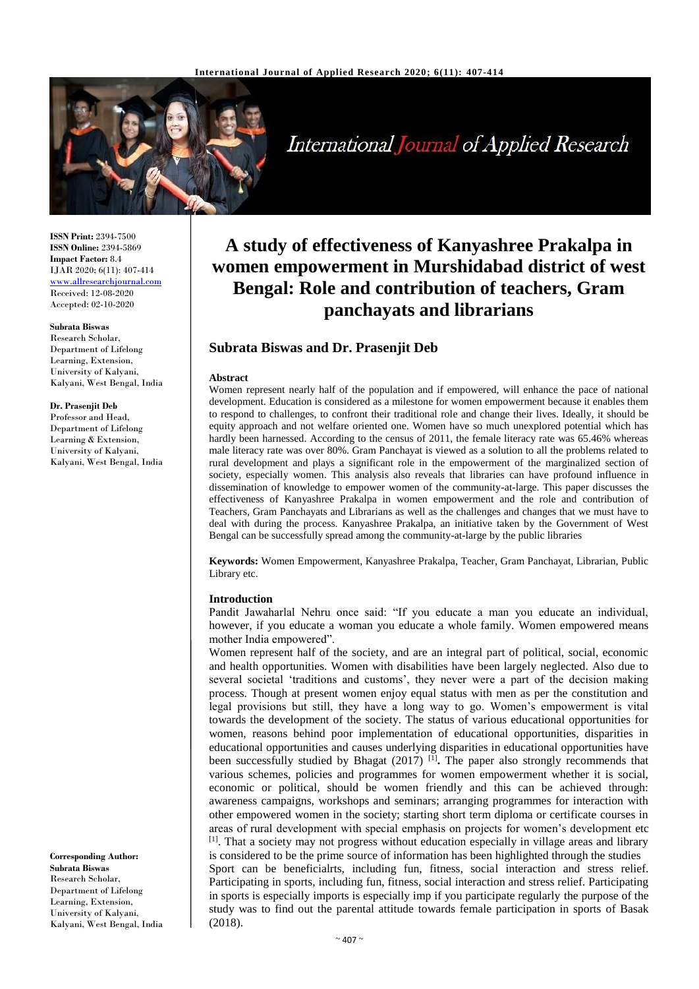

# International Journal of Applied Research

**ISSN Print:** 2394-7500 **ISSN Online:** 2394-5869 **Impact Factor:** 8.4 IJAR 2020; 6(11): 407-414 [www.allresearchjournal.com](file://server/d/allresearchjournal/Issue/6%20volume%20(2020)/11%20issue/www.allresearchjournal.com) Received: 12-08-2020 Accepted: 02-10-2020

**Subrata Biswas** Research Scholar, Department of Lifelong Learning, Extension, University of Kalyani, Kalyani, West Bengal, India

#### **Dr. Prasenjit Deb**

Professor and Head, Department of Lifelong Learning & Extension, University of Kalyani, Kalyani, West Bengal, India

**Corresponding Author: Subrata Biswas** Research Scholar, Department of Lifelong Learning, Extension, University of Kalyani, Kalyani, West Bengal, India

# **A study of effectiveness of Kanyashree Prakalpa in women empowerment in Murshidabad district of west Bengal: Role and contribution of teachers, Gram panchayats and librarians**

# **Subrata Biswas and Dr. Prasenjit Deb**

#### **Abstract**

Women represent nearly half of the population and if empowered, will enhance the pace of national development. Education is considered as a milestone for women empowerment because it enables them to respond to challenges, to confront their traditional role and change their lives. Ideally, it should be equity approach and not welfare oriented one. Women have so much unexplored potential which has hardly been harnessed. According to the census of 2011, the female literacy rate was 65.46% whereas male literacy rate was over 80%. Gram Panchayat is viewed as a solution to all the problems related to rural development and plays a significant role in the empowerment of the marginalized section of society, especially women. This analysis also reveals that libraries can have profound influence in dissemination of knowledge to empower women of the community-at-large. This paper discusses the effectiveness of Kanyashree Prakalpa in women empowerment and the role and contribution of Teachers, Gram Panchayats and Librarians as well as the challenges and changes that we must have to deal with during the process. Kanyashree Prakalpa, an initiative taken by the Government of West Bengal can be successfully spread among the community-at-large by the public libraries

**Keywords:** Women Empowerment, Kanyashree Prakalpa, Teacher, Gram Panchayat, Librarian, Public Library etc.

#### **Introduction**

Pandit Jawaharlal Nehru once said: "If you educate a man you educate an individual, however, if you educate a woman you educate a whole family. Women empowered means mother India empowered".

Women represent half of the society, and are an integral part of political, social, economic and health opportunities. Women with disabilities have been largely neglected. Also due to several societal 'traditions and customs', they never were a part of the decision making process. Though at present women enjoy equal status with men as per the constitution and legal provisions but still, they have a long way to go. Women's empowerment is vital towards the development of the society. The status of various educational opportunities for women, reasons behind poor implementation of educational opportunities, disparities in educational opportunities and causes underlying disparities in educational opportunities have been successfully studied by Bhagat (2017)<sup>[1]</sup>. The paper also strongly recommends that various schemes, policies and programmes for women empowerment whether it is social, economic or political, should be women friendly and this can be achieved through: awareness campaigns, workshops and seminars; arranging programmes for interaction with other empowered women in the society; starting short term diploma or certificate courses in areas of rural development with special emphasis on projects for women's development etc [1]. That a society may not progress without education especially in village areas and library is considered to be the prime source of information has been highlighted through the studies Sport can be beneficialrts, including fun, fitness, social interaction and stress relief. Participating in sports, including fun, fitness, social interaction and stress relief. Participating in sports is especially imports is especially imp if you participate regularly the purpose of the study was to find out the parental attitude towards female participation in sports of Basak (2018).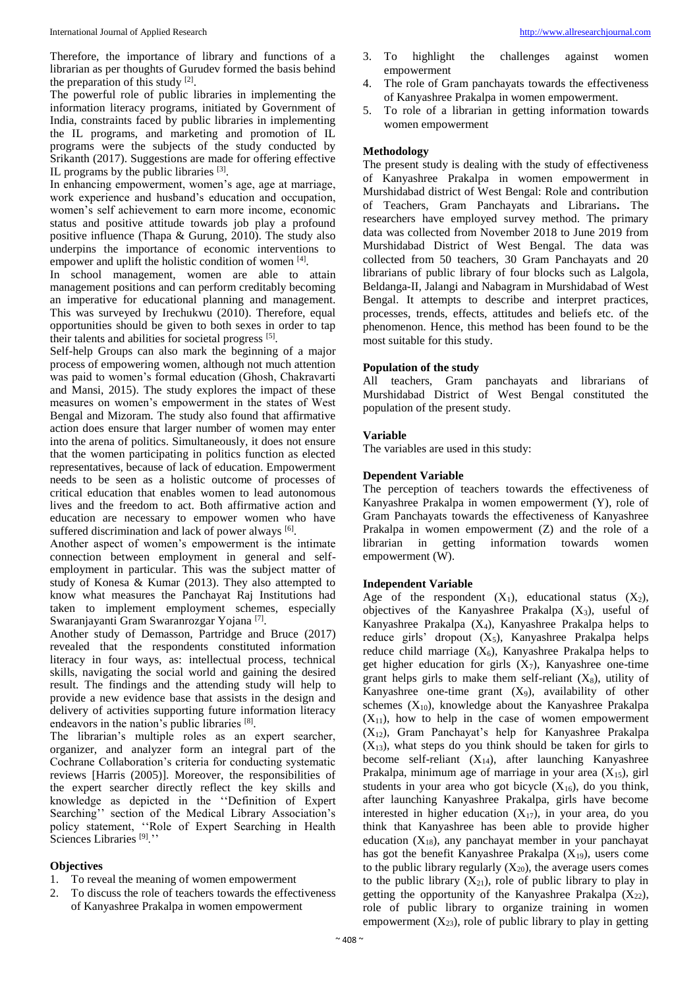Therefore, the importance of library and functions of a librarian as per thoughts of Gurudev formed the basis behind the preparation of this study  $[2]$ .

The powerful role of public libraries in implementing the information literacy programs, initiated by Government of India, constraints faced by public libraries in implementing the IL programs, and marketing and promotion of IL programs were the subjects of the study conducted by Srikanth (2017). Suggestions are made for offering effective IL programs by the public libraries [3].

In enhancing empowerment, women's age, age at marriage, work experience and husband's education and occupation, women's self achievement to earn more income, economic status and positive attitude towards job play a profound positive influence (Thapa & Gurung, 2010). The study also underpins the importance of economic interventions to empower and uplift the holistic condition of women [4].

In school management, women are able to attain management positions and can perform creditably becoming an imperative for educational planning and management. This was surveyed by Irechukwu (2010). Therefore, equal opportunities should be given to both sexes in order to tap their talents and abilities for societal progress [5].

Self-help Groups can also mark the beginning of a major process of empowering women, although not much attention was paid to women's formal education (Ghosh, Chakravarti and Mansi, 2015). The study explores the impact of these measures on women's empowerment in the states of West Bengal and Mizoram. The study also found that affirmative action does ensure that larger number of women may enter into the arena of politics. Simultaneously, it does not ensure that the women participating in politics function as elected representatives, because of lack of education. Empowerment needs to be seen as a holistic outcome of processes of critical education that enables women to lead autonomous lives and the freedom to act. Both affirmative action and education are necessary to empower women who have suffered discrimination and lack of power always [6].

Another aspect of women's empowerment is the intimate connection between employment in general and selfemployment in particular. This was the subject matter of study of Konesa & Kumar (2013). They also attempted to know what measures the Panchayat Raj Institutions had taken to implement employment schemes, especially Swaranjayanti Gram Swaranrozgar Yojana [7] .

Another study of Demasson, Partridge and Bruce (2017) revealed that the respondents constituted information literacy in four ways, as: intellectual process, technical skills, navigating the social world and gaining the desired result. The findings and the attending study will help to provide a new evidence base that assists in the design and delivery of activities supporting future information literacy endeavors in the nation's public libraries [8].

The librarian's multiple roles as an expert searcher, organizer, and analyzer form an integral part of the Cochrane Collaboration's criteria for conducting systematic reviews [Harris (2005)]. Moreover, the responsibilities of the expert searcher directly reflect the key skills and knowledge as depicted in the ''Definition of Expert Searching'' section of the Medical Library Association's policy statement, ''Role of Expert Searching in Health Sciences Libraries<sup>[9]</sup>.''

#### **Objectives**

- 1. To reveal the meaning of women empowerment
- 2. To discuss the role of teachers towards the effectiveness of Kanyashree Prakalpa in women empowerment
- 3. To highlight the challenges against women empowerment
- 4. The role of Gram panchayats towards the effectiveness of Kanyashree Prakalpa in women empowerment.
- 5. To role of a librarian in getting information towards women empowerment

#### **Methodology**

The present study is dealing with the study of effectiveness of Kanyashree Prakalpa in women empowerment in Murshidabad district of West Bengal: Role and contribution of Teachers, Gram Panchayats and Librarians**.** The researchers have employed survey method. The primary data was collected from November 2018 to June 2019 from Murshidabad District of West Bengal. The data was collected from 50 teachers, 30 Gram Panchayats and 20 librarians of public library of four blocks such as Lalgola, Beldanga-II, Jalangi and Nabagram in Murshidabad of West Bengal. It attempts to describe and interpret practices, processes, trends, effects, attitudes and beliefs etc. of the phenomenon. Hence, this method has been found to be the most suitable for this study.

#### **Population of the study**

All teachers, Gram panchayats and librarians of Murshidabad District of West Bengal constituted the population of the present study.

## **Variable**

The variables are used in this study:

## **Dependent Variable**

The perception of teachers towards the effectiveness of Kanyashree Prakalpa in women empowerment (Y), role of Gram Panchayats towards the effectiveness of Kanyashree Prakalpa in women empowerment (Z) and the role of a librarian in getting information towards women empowerment (W).

#### **Independent Variable**

Age of the respondent  $(X_1)$ , educational status  $(X_2)$ , objectives of the Kanyashree Prakalpa  $(X_3)$ , useful of Kanyashree Prakalpa  $(X_4)$ , Kanyashree Prakalpa helps to reduce girls' dropout  $(X_5)$ , Kanyashree Prakalpa helps reduce child marriage  $(X_6)$ , Kanyashree Prakalpa helps to get higher education for girls  $(X_7)$ , Kanyashree one-time grant helps girls to make them self-reliant  $(X_8)$ , utility of Kanyashree one-time grant  $(X_9)$ , availability of other schemes  $(X_{10})$ , knowledge about the Kanyashree Prakalpa  $(X_{11})$ , how to help in the case of women empowerment  $(X_{12})$ , Gram Panchayat's help for Kanyashree Prakalpa  $(X_{13})$ , what steps do you think should be taken for girls to become self-reliant  $(X_{14})$ , after launching Kanyashree Prakalpa, minimum age of marriage in your area  $(X_{15})$ , girl students in your area who got bicycle  $(X_{16})$ , do you think, after launching Kanyashree Prakalpa, girls have become interested in higher education  $(X_{17})$ , in your area, do you think that Kanyashree has been able to provide higher education  $(X_{18})$ , any panchayat member in your panchayat has got the benefit Kanyashree Prakalpa  $(X_{19})$ , users come to the public library regularly  $(X_{20})$ , the average users comes to the public library  $(X_{21})$ , role of public library to play in getting the opportunity of the Kanyashree Prakalpa  $(X_{22})$ , role of public library to organize training in women empowerment  $(X_{23})$ , role of public library to play in getting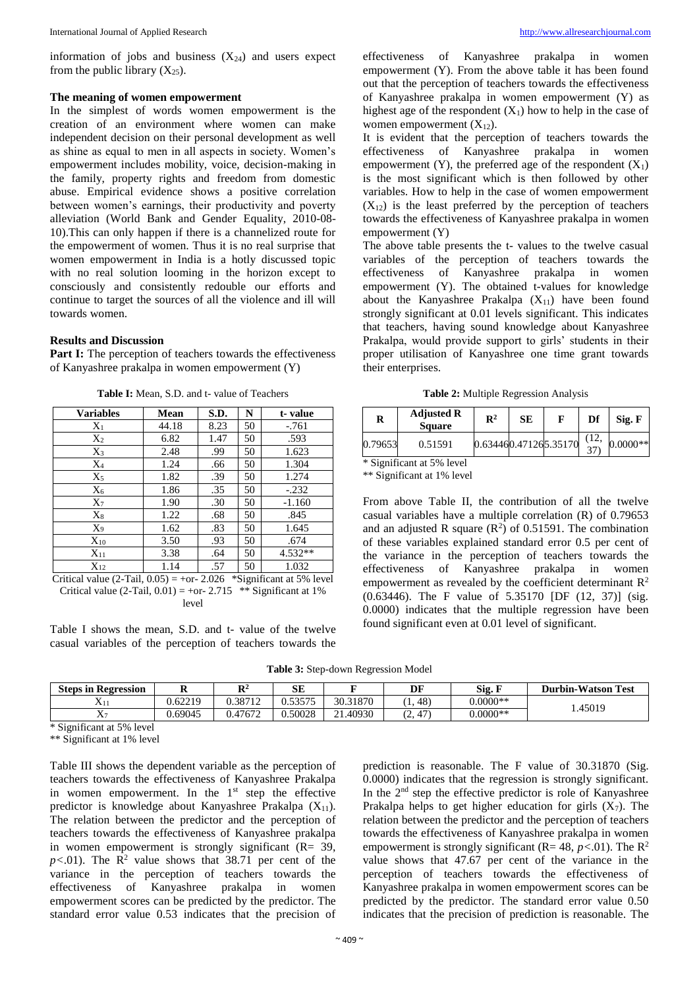information of jobs and business  $(X_{24})$  and users expect from the public library  $(X_{25})$ .

## **The meaning of women empowerment**

In the simplest of words women empowerment is the creation of an environment where women can make independent decision on their personal development as well as shine as equal to men in all aspects in society. Women's empowerment includes mobility, voice, decision-making in the family, property rights and freedom from domestic abuse. Empirical evidence shows a positive correlation between women's earnings, their productivity and poverty alleviation (World Bank and Gender Equality, 2010-08- 10).This can only happen if there is a channelized route for the empowerment of women. Thus it is no real surprise that women empowerment in India is a hotly discussed topic with no real solution looming in the horizon except to consciously and consistently redouble our efforts and continue to target the sources of all the violence and ill will towards women.

## **Results and Discussion**

**Part I:** The perception of teachers towards the effectiveness of Kanyashree prakalpa in women empowerment (Y)

**Table I:** Mean, S.D. and t- value of Teachers

| <b>Variables</b> | Mean  | S.D. | N  | t-value   |
|------------------|-------|------|----|-----------|
| $X_1$            | 44.18 | 8.23 | 50 | $-.761$   |
| $X_2$            | 6.82  | 1.47 | 50 | .593      |
| $X_3$            | 2.48  | .99  | 50 | 1.623     |
| $X_4$            | 1.24  | .66  | 50 | 1.304     |
| $X_5$            | 1.82  | .39  | 50 | 1.274     |
| $X_6$            | 1.86  | .35  | 50 | $-.232$   |
| X7               | 1.90  | .30  | 50 | $-1.160$  |
| $X_8$            | 1.22  | .68  | 50 | .845      |
| X9               | 1.62  | .83  | 50 | 1.645     |
| $X_{10}$         | 3.50  | .93  | 50 | .674      |
| $X_{11}$         | 3.38  | .64  | 50 | $4.532**$ |
| $X_{12}$         | 1.14  | .57  | 50 | 1.032     |

Critical value  $(2-Tail, 0.05) = +or- 2.026$  \*Significant at 5% level Critical value (2-Tail,  $0.01$ ) = +or- 2.715  $**$  Significant at 1% level

Table I shows the mean, S.D. and t- value of the twelve casual variables of the perception of teachers towards the

effectiveness of Kanyashree prakalpa in women empowerment (Y). From the above table it has been found out that the perception of teachers towards the effectiveness of Kanyashree prakalpa in women empowerment (Y) as highest age of the respondent  $(X_1)$  how to help in the case of women empowerment  $(X_{12})$ .

It is evident that the perception of teachers towards the effectiveness of Kanyashree prakalpa in women empowerment (Y), the preferred age of the respondent  $(X_1)$ is the most significant which is then followed by other variables. How to help in the case of women empowerment  $(X_{12})$  is the least preferred by the perception of teachers towards the effectiveness of Kanyashree prakalpa in women empowerment (Y)

The above table presents the t- values to the twelve casual variables of the perception of teachers towards the effectiveness of Kanyashree prakalpa in women empowerment (Y). The obtained t-values for knowledge about the Kanyashree Prakalpa  $(X_{11})$  have been found strongly significant at 0.01 levels significant. This indicates that teachers, having sound knowledge about Kanyashree Prakalpa, would provide support to girls' students in their proper utilisation of Kanyashree one time grant towards their enterprises.

**Table 2:** Multiple Regression Analysis

| R       | <b>Adjusted R</b><br><b>Square</b> | $\mathbf{R}^2$ | <b>SE</b> |                       | Df | Sig. F     |
|---------|------------------------------------|----------------|-----------|-----------------------|----|------------|
| 0.79653 | 0.51591                            |                |           | 0.634460.471265.35170 |    | $0.0000**$ |

\* Significant at 5% level

\*\* Significant at 1% level

From above Table II, the contribution of all the twelve casual variables have a multiple correlation (R) of 0.79653 and an adjusted R square  $(R^2)$  of 0.51591. The combination of these variables explained standard error 0.5 per cent of the variance in the perception of teachers towards the effectiveness of Kanyashree prakalpa in women empowerment as revealed by the coefficient determinant  $\mathbb{R}^2$ (0.63446). The F value of 5.35170 [DF (12, 37)] (sig. 0.0000) indicates that the multiple regression have been found significant even at 0.01 level of significant.

**Table 3:** Step-down Regression Model

| <b>Steps in Regression</b> | --      | $\mathbf{D}^2$<br> | CЕ<br>ЮĽ                  |                       | DF      | Sig. 1     | <b>Durbin-Watson Test</b> |
|----------------------------|---------|--------------------|---------------------------|-----------------------|---------|------------|---------------------------|
| ΔH                         | 0.62219 | 0.38712            | 52575<br>,, <i>,,,,</i> , | 30.31870              | 48)     | $0.0000**$ | . 45019                   |
| <b>TT</b><br>$X_7$         | 0.69045 | 0.47672            | 0.50028                   | .1.40930<br>$^{\sim}$ | 47<br>- | $0.0000**$ |                           |

\* Significant at 5% level

\*\* Significant at 1% level

Table III shows the dependent variable as the perception of teachers towards the effectiveness of Kanyashree Prakalpa in women empowerment. In the  $1<sup>st</sup>$  step the effective predictor is knowledge about Kanyashree Prakalpa (X<sub>11</sub>). The relation between the predictor and the perception of teachers towards the effectiveness of Kanyashree prakalpa in women empowerment is strongly significant  $(R= 39,$  $p<.01$ ). The R<sup>2</sup> value shows that 38.71 per cent of the variance in the perception of teachers towards the effectiveness of Kanyashree prakalpa in women empowerment scores can be predicted by the predictor. The standard error value 0.53 indicates that the precision of

prediction is reasonable. The F value of 30.31870 (Sig. 0.0000) indicates that the regression is strongly significant. In the 2<sup>nd</sup> step the effective predictor is role of Kanyashree Prakalpa helps to get higher education for girls  $(X_7)$ . The relation between the predictor and the perception of teachers towards the effectiveness of Kanyashree prakalpa in women empowerment is strongly significant ( $R = 48$ ,  $p < .01$ ). The  $R^2$ value shows that 47.67 per cent of the variance in the perception of teachers towards the effectiveness of Kanyashree prakalpa in women empowerment scores can be predicted by the predictor. The standard error value 0.50 indicates that the precision of prediction is reasonable. The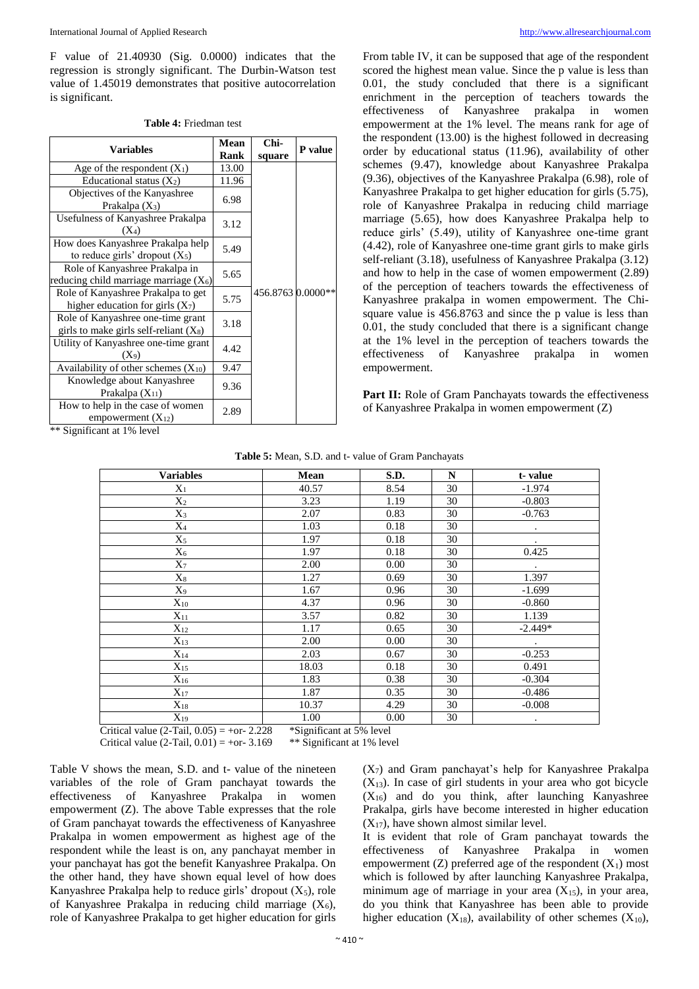F value of 21.40930 (Sig. 0.0000) indicates that the regression is strongly significant. The Durbin-Watson test value of 1.45019 demonstrates that positive autocorrelation is significant.

| <b>Variables</b>                                                              | Mean<br>Rank | Chi-<br>square    | P value |
|-------------------------------------------------------------------------------|--------------|-------------------|---------|
| Age of the respondent $(X_1)$                                                 | 13.00        |                   |         |
| Educational status $(X_2)$                                                    | 11.96        |                   |         |
| Objectives of the Kanyashree<br>Prakalpa $(X_3)$                              | 6.98         |                   |         |
| Usefulness of Kanyashree Prakalpa<br>$(X_4)$                                  | 3.12         |                   |         |
| How does Kanyashree Prakalpa help<br>to reduce girls' dropout $(X_5)$         | 5.49         |                   |         |
| Role of Kanyashree Prakalpa in<br>reducing child marriage marriage $(X_6)$    | 5.65         |                   |         |
| Role of Kanyashree Prakalpa to get<br>higher education for girls $(X_7)$      | 5.75         | 456.8763 0.0000** |         |
| Role of Kanyashree one-time grant<br>girls to make girls self-reliant $(X_8)$ | 3.18         |                   |         |
| Utility of Kanyashree one-time grant<br>(X9)                                  | 4.42         |                   |         |
| Availability of other schemes $(X_{10})$                                      | 9.47         |                   |         |
| Knowledge about Kanyashree<br>Prakalpa $(X_{11})$                             | 9.36         |                   |         |
| How to help in the case of women<br>empowerment $(X_{12})$                    | 2.89         |                   |         |

\*\* Significant at 1% level

From table IV, it can be supposed that age of the respondent scored the highest mean value. Since the p value is less than 0.01, the study concluded that there is a significant enrichment in the perception of teachers towards the effectiveness of Kanyashree prakalpa in women empowerment at the 1% level. The means rank for age of the respondent (13.00) is the highest followed in decreasing order by educational status (11.96), availability of other schemes (9.47), knowledge about Kanyashree Prakalpa (9.36), objectives of the Kanyashree Prakalpa (6.98), role of Kanyashree Prakalpa to get higher education for girls (5.75), role of Kanyashree Prakalpa in reducing child marriage marriage (5.65), how does Kanyashree Prakalpa help to reduce girls' (5.49), utility of Kanyashree one-time grant (4.42), role of Kanyashree one-time grant girls to make girls self-reliant (3.18), usefulness of Kanyashree Prakalpa (3.12) and how to help in the case of women empowerment (2.89) of the perception of teachers towards the effectiveness of Kanyashree prakalpa in women empowerment. The Chisquare value is 456.8763 and since the p value is less than 0.01, the study concluded that there is a significant change at the 1% level in the perception of teachers towards the effectiveness of Kanyashree prakalpa in women empowerment.

Part II: Role of Gram Panchayats towards the effectiveness of Kanyashree Prakalpa in women empowerment (Z)

**Table 5:** Mean, S.D. and t- value of Gram Panchayats

| <b>Variables</b>  | Mean  | S.D. | N  | t-value   |
|-------------------|-------|------|----|-----------|
| $X_1$             | 40.57 | 8.54 | 30 | $-1.974$  |
| $X_2$             | 3.23  | 1.19 | 30 | $-0.803$  |
| $X_3$             | 2.07  | 0.83 | 30 | $-0.763$  |
| $\rm X_4$         | 1.03  | 0.18 | 30 | $\bullet$ |
| $\mathrm{X}_5$    | 1.97  | 0.18 | 30 | $\bullet$ |
| $\rm X_6$         | 1.97  | 0.18 | 30 | 0.425     |
| $X_7$             | 2.00  | 0.00 | 30 |           |
| $\mathrm{X}_8$    | 1.27  | 0.69 | 30 | 1.397     |
| X9                | 1.67  | 0.96 | 30 | $-1.699$  |
| $X_{10}$          | 4.37  | 0.96 | 30 | $-0.860$  |
| $X_{11}$          | 3.57  | 0.82 | 30 | 1.139     |
| $X_{12}$          | 1.17  | 0.65 | 30 | $-2.449*$ |
| $X_{13}$          | 2.00  | 0.00 | 30 |           |
| $\mathbf{X}_{14}$ | 2.03  | 0.67 | 30 | $-0.253$  |
| $X_{15}$          | 18.03 | 0.18 | 30 | 0.491     |
| $X_{16}$          | 1.83  | 0.38 | 30 | $-0.304$  |
| $X_{17}$          | 1.87  | 0.35 | 30 | $-0.486$  |
| $X_{18}$          | 10.37 | 4.29 | 30 | $-0.008$  |
| $X_{19}$          | 1.00  | 0.00 | 30 |           |

Critical value (2-Tail,  $0.05$ ) = +or- 2.228 \*Significant at 5% level

Table V shows the mean, S.D. and t- value of the nineteen variables of the role of Gram panchayat towards the effectiveness of Kanyashree Prakalpa in women empowerment (Z). The above Table expresses that the role of Gram panchayat towards the effectiveness of Kanyashree Prakalpa in women empowerment as highest age of the respondent while the least is on, any panchayat member in your panchayat has got the benefit Kanyashree Prakalpa. On the other hand, they have shown equal level of how does Kanyashree Prakalpa help to reduce girls' dropout  $(X_5)$ , role of Kanyashree Prakalpa in reducing child marriage  $(X_6)$ , role of Kanyashree Prakalpa to get higher education for girls

 $(X<sub>7</sub>)$  and Gram panchayat's help for Kanyashree Prakalpa  $(X_{13})$ . In case of girl students in your area who got bicycle  $(X_{16})$  and do you think, after launching Kanyashree Prakalpa, girls have become interested in higher education  $(X_{17})$ , have shown almost similar level.

It is evident that role of Gram panchayat towards the effectiveness of Kanyashree Prakalpa in women empowerment (Z) preferred age of the respondent  $(X_1)$  most which is followed by after launching Kanyashree Prakalpa, minimum age of marriage in your area  $(X_{15})$ , in your area, do you think that Kanyashree has been able to provide higher education  $(X_{18})$ , availability of other schemes  $(X_{10})$ ,

Critical value  $(2-Tail, 0.01) = +or-3.169$  \*\* Significant at 1% level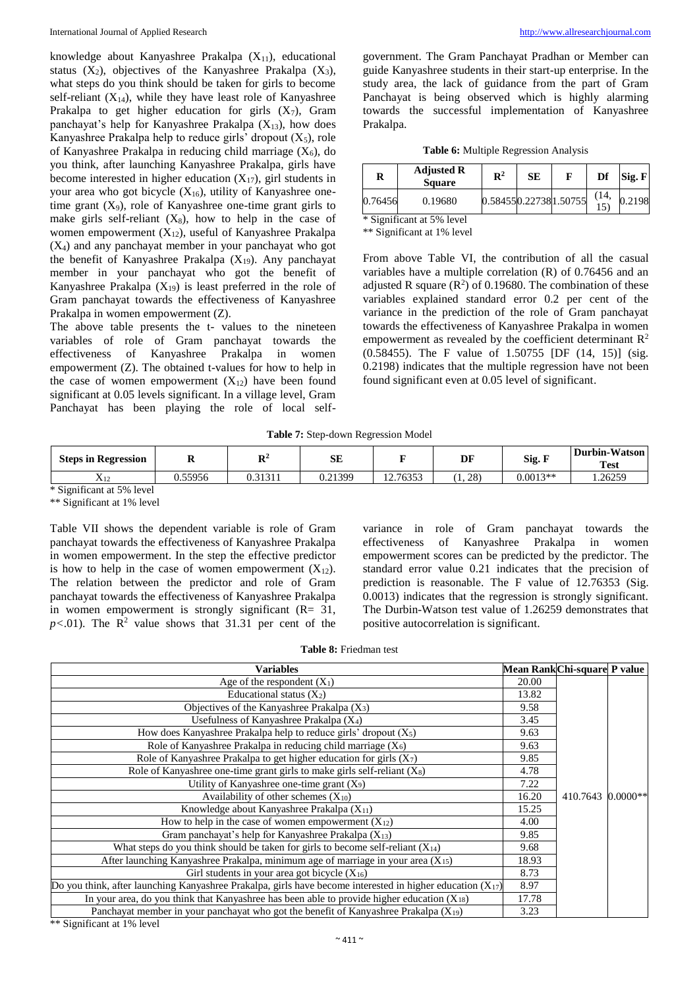knowledge about Kanyashree Prakalpa  $(X_{11})$ , educational status  $(X_2)$ , objectives of the Kanyashree Prakalpa  $(X_3)$ , what steps do you think should be taken for girls to become self-reliant  $(X_{14})$ , while they have least role of Kanyashree Prakalpa to get higher education for girls  $(X_7)$ , Gram panchayat's help for Kanyashree Prakalpa  $(X_{13})$ , how does Kanyashree Prakalpa help to reduce girls' dropout  $(X_5)$ , role of Kanyashree Prakalpa in reducing child marriage  $(X_6)$ , do you think, after launching Kanyashree Prakalpa, girls have become interested in higher education  $(X_{17})$ , girl students in your area who got bicycle  $(X_{16})$ , utility of Kanyashree onetime grant  $(X_9)$ , role of Kanyashree one-time grant girls to make girls self-reliant  $(X_8)$ , how to help in the case of women empowerment  $(X_{12})$ , useful of Kanyashree Prakalpa  $(X<sub>4</sub>)$  and any panchayat member in your panchayat who got the benefit of Kanyashree Prakalpa  $(X_{19})$ . Any panchayat member in your panchayat who got the benefit of Kanyashree Prakalpa  $(X_{19})$  is least preferred in the role of Gram panchayat towards the effectiveness of Kanyashree Prakalpa in women empowerment (Z).

The above table presents the t- values to the nineteen variables of role of Gram panchayat towards the effectiveness of Kanyashree Prakalpa in women empowerment (Z). The obtained t-values for how to help in the case of women empowerment  $(X_{12})$  have been found significant at 0.05 levels significant. In a village level, Gram Panchayat has been playing the role of local selfgovernment. The Gram Panchayat Pradhan or Member can guide Kanyashree students in their start-up enterprise. In the study area, the lack of guidance from the part of Gram Panchayat is being observed which is highly alarming towards the successful implementation of Kanyashree Prakalpa.

|  | Table 6: Multiple Regression Analysis |  |
|--|---------------------------------------|--|
|  |                                       |  |

| R       | <b>Adjusted R</b><br><b>Square</b> | $\mathbf{R}^2$ | SЕ |                       | Df   | Sig. F |
|---------|------------------------------------|----------------|----|-----------------------|------|--------|
| 0.76456 | 0.19680                            |                |    | 0.584550.227381.50755 | (14, | 0.2198 |

\* Significant at 5% level

\*\* Significant at 1% level

From above Table VI, the contribution of all the casual variables have a multiple correlation (R) of 0.76456 and an adjusted R square  $(R^2)$  of 0.19680. The combination of these variables explained standard error 0.2 per cent of the variance in the prediction of the role of Gram panchayat towards the effectiveness of Kanyashree Prakalpa in women empowerment as revealed by the coefficient determinant  $\mathbb{R}^2$ (0.58455). The F value of 1.50755 [DF (14, 15)] (sig. 0.2198) indicates that the multiple regression have not been found significant even at 0.05 level of significant.

**Table 7:** Step-down Regression Model

| <b>Steps in Regression</b> | л,      | $\mathbf{D}^2$<br>v | SЕ      |          | DF  | Sig. I     | Durbin-Watson<br><b>Test</b> |
|----------------------------|---------|---------------------|---------|----------|-----|------------|------------------------------|
| $\mathrm{X}_{12}$          | 0.55956 | 0.31311             | 0.21399 | 12.76353 | 28) | $0.0013**$ | .26259                       |
| * Significant at 5% level  |         |                     |         |          |     |            |                              |

\*\* Significant at 1% level

Table VII shows the dependent variable is role of Gram panchayat towards the effectiveness of Kanyashree Prakalpa in women empowerment. In the step the effective predictor is how to help in the case of women empowerment  $(X_{12})$ . The relation between the predictor and role of Gram panchayat towards the effectiveness of Kanyashree Prakalpa in women empowerment is strongly significant  $(R= 31,$  $p$ <.01). The  $\mathbb{R}^2$  value shows that 31.31 per cent of the

variance in role of Gram panchayat towards the effectiveness of Kanyashree Prakalpa in women empowerment scores can be predicted by the predictor. The standard error value 0.21 indicates that the precision of prediction is reasonable. The F value of 12.76353 (Sig. 0.0013) indicates that the regression is strongly significant. The Durbin-Watson test value of 1.26259 demonstrates that positive autocorrelation is significant.

**Table 8:** Friedman test

| <b>Variables</b>                                                                                               | Mean Rank Chi-square P value |                   |  |
|----------------------------------------------------------------------------------------------------------------|------------------------------|-------------------|--|
| Age of the respondent $(X_1)$                                                                                  | 20.00                        |                   |  |
| Educational status $(X_2)$                                                                                     | 13.82                        |                   |  |
| Objectives of the Kanyashree Prakalpa $(X_3)$                                                                  | 9.58                         |                   |  |
| Usefulness of Kanyashree Prakalpa (X4)                                                                         | 3.45                         |                   |  |
| How does Kanyashree Prakalpa help to reduce girls' dropout $(X_5)$                                             | 9.63                         |                   |  |
| Role of Kanyashree Prakalpa in reducing child marriage $(X_6)$                                                 | 9.63                         |                   |  |
| Role of Kanyashree Prakalpa to get higher education for girls $(X_7)$                                          | 9.85                         |                   |  |
| Role of Kanyashree one-time grant girls to make girls self-reliant $(X_8)$                                     | 4.78                         |                   |  |
| Utility of Kanyashree one-time grant $(X_9)$                                                                   | 7.22                         |                   |  |
| Availability of other schemes $(X_{10})$                                                                       | 16.20                        | 410.7643 0.0000** |  |
| Knowledge about Kanyashree Prakalpa (X <sub>11</sub> )                                                         | 15.25                        |                   |  |
| How to help in the case of women empowerment $(X_{12})$                                                        | 4.00                         |                   |  |
| Gram panchayat's help for Kanyashree Prakalpa (X <sub>13</sub> )                                               | 9.85                         |                   |  |
| What steps do you think should be taken for girls to become self-reliant $(X_{14})$                            | 9.68                         |                   |  |
| After launching Kanyashree Prakalpa, minimum age of marriage in your area $(X_{15})$                           | 18.93                        |                   |  |
| Girl students in your area got bicycle $(X_{16})$                                                              | 8.73                         |                   |  |
| Do you think, after launching Kanyashree Prakalpa, girls have become interested in higher education $(X_{17})$ | 8.97                         |                   |  |
| In your area, do you think that Kanyashree has been able to provide higher education $(X_{18})$                | 17.78                        |                   |  |
| Panchayat member in your panchayat who got the benefit of Kanyashree Prakalpa $(X_{19})$                       | 3.23                         |                   |  |

\*\* Significant at 1% level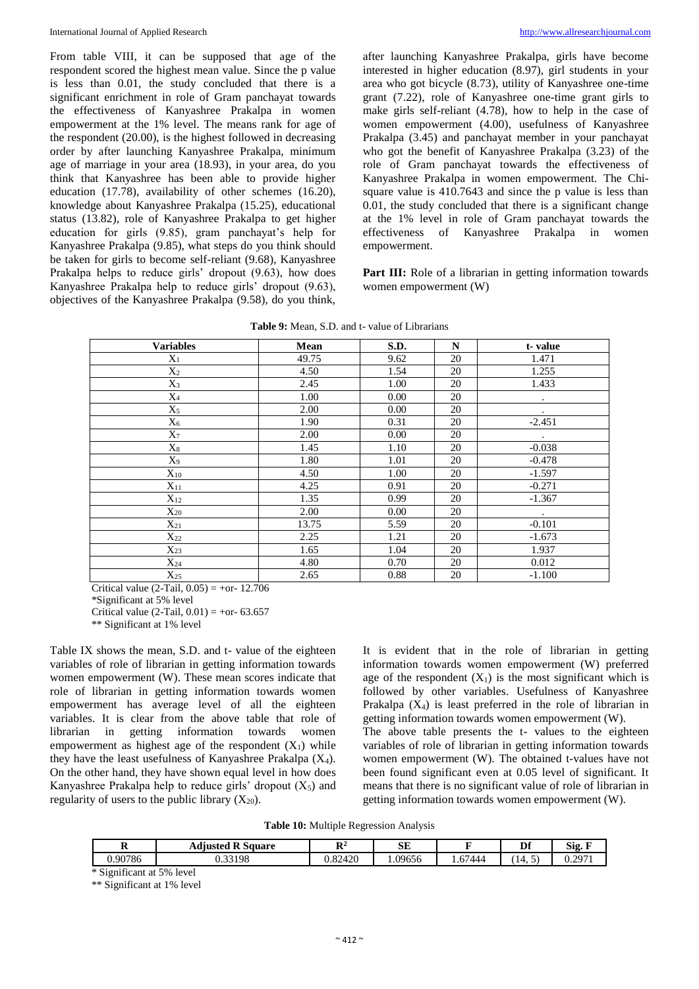From table VIII, it can be supposed that age of the respondent scored the highest mean value. Since the p value is less than 0.01, the study concluded that there is a significant enrichment in role of Gram panchayat towards the effectiveness of Kanyashree Prakalpa in women empowerment at the 1% level. The means rank for age of the respondent (20.00), is the highest followed in decreasing order by after launching Kanyashree Prakalpa, minimum age of marriage in your area (18.93), in your area, do you think that Kanyashree has been able to provide higher education (17.78), availability of other schemes (16.20), knowledge about Kanyashree Prakalpa (15.25), educational status (13.82), role of Kanyashree Prakalpa to get higher education for girls (9.85), gram panchayat's help for Kanyashree Prakalpa (9.85), what steps do you think should be taken for girls to become self-reliant (9.68), Kanyashree Prakalpa helps to reduce girls' dropout (9.63), how does Kanyashree Prakalpa help to reduce girls' dropout (9.63), objectives of the Kanyashree Prakalpa (9.58), do you think,

after launching Kanyashree Prakalpa, girls have become interested in higher education (8.97), girl students in your area who got bicycle (8.73), utility of Kanyashree one-time grant (7.22), role of Kanyashree one-time grant girls to make girls self-reliant (4.78), how to help in the case of women empowerment (4.00), usefulness of Kanyashree Prakalpa (3.45) and panchayat member in your panchayat who got the benefit of Kanyashree Prakalpa (3.23) of the role of Gram panchayat towards the effectiveness of Kanyashree Prakalpa in women empowerment. The Chisquare value is  $410.7643$  and since the p value is less than 0.01, the study concluded that there is a significant change at the 1% level in role of Gram panchayat towards the effectiveness of Kanyashree Prakalpa in women empowerment.

Part III: Role of a librarian in getting information towards women empowerment (W)

| <b>Variables</b> | Mean  | S.D. | $\mathbf N$ | t-value   |
|------------------|-------|------|-------------|-----------|
| $X_1$            | 49.75 | 9.62 | 20          | 1.471     |
| $X_2$            | 4.50  | 1.54 | 20          | 1.255     |
| $X_3$            | 2.45  | 1.00 | 20          | 1.433     |
| $X_4$            | 1.00  | 0.00 | 20          | $\bullet$ |
| $X_5$            | 2.00  | 0.00 | 20          | $\bullet$ |
| $X_6$            | 1.90  | 0.31 | 20          | $-2.451$  |
| $X_7$            | 2.00  | 0.00 | 20          | $\bullet$ |
| $X_8$            | 1.45  | 1.10 | 20          | $-0.038$  |
| $X_9$            | 1.80  | 1.01 | 20          | $-0.478$  |
| $X_{10}$         | 4.50  | 1.00 | 20          | $-1.597$  |
| $X_{11}$         | 4.25  | 0.91 | 20          | $-0.271$  |
| $X_{12}$         | 1.35  | 0.99 | 20          | $-1.367$  |
| $X_{20}$         | 2.00  | 0.00 | 20          | $\bullet$ |
| $X_{21}$         | 13.75 | 5.59 | 20          | $-0.101$  |
| $X_{22}$         | 2.25  | 1.21 | 20          | $-1.673$  |
| $X_{23}$         | 1.65  | 1.04 | 20          | 1.937     |
| $X_{24}$         | 4.80  | 0.70 | 20          | 0.012     |
| $X_{25}$         | 2.65  | 0.88 | 20          | $-1.100$  |

**Table 9:** Mean, S.D. and t- value of Librarians

Critical value (2-Tail,  $0.05$ ) = +or- 12.706

\*Significant at 5% level

Critical value (2-Tail,  $0.01$ ) = +or- 63.657

\*\* Significant at 1% level

Table IX shows the mean, S.D. and t- value of the eighteen variables of role of librarian in getting information towards women empowerment (W). These mean scores indicate that role of librarian in getting information towards women empowerment has average level of all the eighteen variables. It is clear from the above table that role of librarian in getting information towards women empowerment as highest age of the respondent  $(X_1)$  while they have the least usefulness of Kanyashree Prakalpa  $(X_4)$ . On the other hand, they have shown equal level in how does Kanyashree Prakalpa help to reduce girls' dropout  $(X_5)$  and regularity of users to the public library  $(X_{20})$ .

It is evident that in the role of librarian in getting information towards women empowerment (W) preferred age of the respondent  $(X_1)$  is the most significant which is followed by other variables. Usefulness of Kanyashree Prakalpa  $(X_4)$  is least preferred in the role of librarian in getting information towards women empowerment (W).

The above table presents the t- values to the eighteen variables of role of librarian in getting information towards women empowerment (W). The obtained t-values have not been found significant even at 0.05 level of significant. It means that there is no significant value of role of librarian in getting information towards women empowerment (W).

**Table 10:** Multiple Regression Analysis

| A       | . .<br>R S<br>Adiusted<br>Square<br> | ${\bf D}^2$<br>n | <b>SE</b> | -     | ne<br>וע | $\sim$<br>$\overline{\phantom{a}}$<br>S12. |
|---------|--------------------------------------|------------------|-----------|-------|----------|--------------------------------------------|
| 0.90786 | 33198<br>J.JJ                        | 92120<br>0.02420 | 1.09656   | 57444 | - 14. U  | በ 2071<br>0.297                            |

\* Significant at 5% level

\*\* Significant at 1% level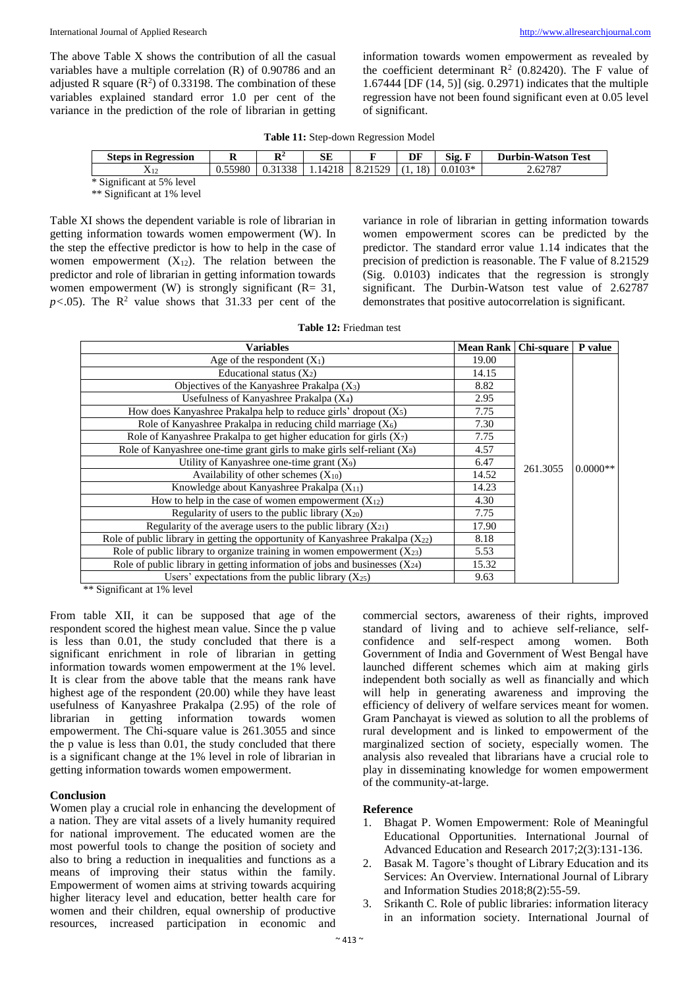The above Table X shows the contribution of all the casual variables have a multiple correlation (R) of 0.90786 and an adjusted R square  $(R^2)$  of 0.33198. The combination of these variables explained standard error 1.0 per cent of the variance in the prediction of the role of librarian in getting information towards women empowerment as revealed by the coefficient determinant  $\mathbb{R}^2$  (0.82420). The F value of 1.67444 [DF (14, 5)] (sig. 0.2971) indicates that the multiple regression have not been found significant even at 0.05 level of significant.

| Table 11: Step-down Regression Model |
|--------------------------------------|
|--------------------------------------|

| <b>Steps in Regression</b> | A       | Dź<br>A      | SЕ      |                 | DF       | Sig. I<br>$\overline{\phantom{a}}$ | <b>Durbin-Watson</b><br><b>Test</b> |
|----------------------------|---------|--------------|---------|-----------------|----------|------------------------------------|-------------------------------------|
| A 12                       | 0.55980 | 31338<br>∪.⊃ | 1.14218 | 1520<br>8.21525 | 18)<br>. | $0.0103*$                          | 2.62787                             |
|                            |         |              |         |                 |          |                                    |                                     |

\* Significant at 5% level

\*\* Significant at 1% level

Table XI shows the dependent variable is role of librarian in getting information towards women empowerment (W). In the step the effective predictor is how to help in the case of women empowerment  $(X_{12})$ . The relation between the predictor and role of librarian in getting information towards women empowerment (W) is strongly significant  $(R= 31,$  $p$ <.05). The  $\mathbb{R}^2$  value shows that 31.33 per cent of the variance in role of librarian in getting information towards women empowerment scores can be predicted by the predictor. The standard error value 1.14 indicates that the precision of prediction is reasonable. The F value of 8.21529 (Sig. 0.0103) indicates that the regression is strongly significant. The Durbin-Watson test value of 2.62787 demonstrates that positive autocorrelation is significant.

| <b>Variables</b>                                                                    | Mean Rank   Chi-square |          | <b>P</b> value |
|-------------------------------------------------------------------------------------|------------------------|----------|----------------|
| Age of the respondent $(X_1)$                                                       | 19.00                  |          |                |
| Educational status $(X_2)$                                                          | 14.15                  |          |                |
| Objectives of the Kanyashree Prakalpa $(X_3)$                                       |                        | 261.3055 | $0.0000**$     |
| Usefulness of Kanyashree Prakalpa (X4)                                              |                        |          |                |
| How does Kanyashree Prakalpa help to reduce girls' dropout $(X_5)$                  |                        |          |                |
| Role of Kanyashree Prakalpa in reducing child marriage $(X_6)$                      |                        |          |                |
| Role of Kanyashree Prakalpa to get higher education for girls $(X_7)$               |                        |          |                |
| Role of Kanyashree one-time grant girls to make girls self-reliant $(X_8)$          |                        |          |                |
| Utility of Kanyashree one-time grant $(X_9)$                                        |                        |          |                |
| Availability of other schemes $(X_{10})$                                            |                        |          |                |
| Knowledge about Kanyashree Prakalpa $(X_{11})$                                      |                        |          |                |
| How to help in the case of women empowerment $(X_{12})$                             |                        |          |                |
| Regularity of users to the public library $(X_{20})$                                |                        |          |                |
| Regularity of the average users to the public library $(X_{21})$                    |                        |          |                |
| Role of public library in getting the opportunity of Kanyashree Prakalpa $(X_{22})$ |                        |          |                |
| Role of public library to organize training in women empowerment $(X_{23})$         | 5.53                   |          |                |
| Role of public library in getting information of jobs and businesses $(X_{24})$     |                        |          |                |
| Users' expectations from the public library $(X_{25})$                              | 9.63                   |          |                |

\*\* Significant at 1% level

From table XII, it can be supposed that age of the respondent scored the highest mean value. Since the p value is less than 0.01, the study concluded that there is a significant enrichment in role of librarian in getting information towards women empowerment at the 1% level. It is clear from the above table that the means rank have highest age of the respondent (20.00) while they have least usefulness of Kanyashree Prakalpa (2.95) of the role of librarian in getting information towards women empowerment. The Chi-square value is 261.3055 and since the p value is less than 0.01, the study concluded that there is a significant change at the 1% level in role of librarian in getting information towards women empowerment.

#### **Conclusion**

Women play a crucial role in enhancing the development of a nation. They are vital assets of a lively humanity required for national improvement. The educated women are the most powerful tools to change the position of society and also to bring a reduction in inequalities and functions as a means of improving their status within the family. Empowerment of women aims at striving towards acquiring higher literacy level and education, better health care for women and their children, equal ownership of productive resources, increased participation in economic and

commercial sectors, awareness of their rights, improved standard of living and to achieve self-reliance, selfconfidence and self-respect among women. Both Government of India and Government of West Bengal have launched different schemes which aim at making girls independent both socially as well as financially and which will help in generating awareness and improving the efficiency of delivery of welfare services meant for women. Gram Panchayat is viewed as solution to all the problems of rural development and is linked to empowerment of the marginalized section of society, especially women. The analysis also revealed that librarians have a crucial role to play in disseminating knowledge for women empowerment of the community-at-large.

#### **Reference**

- 1. Bhagat P. Women Empowerment: Role of Meaningful Educational Opportunities. International Journal of Advanced Education and Research 2017;2(3):131-136.
- 2. Basak M. Tagore's thought of Library Education and its Services: An Overview. International Journal of Library and Information Studies 2018;8(2):55-59.
- 3. Srikanth C. Role of public libraries: information literacy in an information society. International Journal of